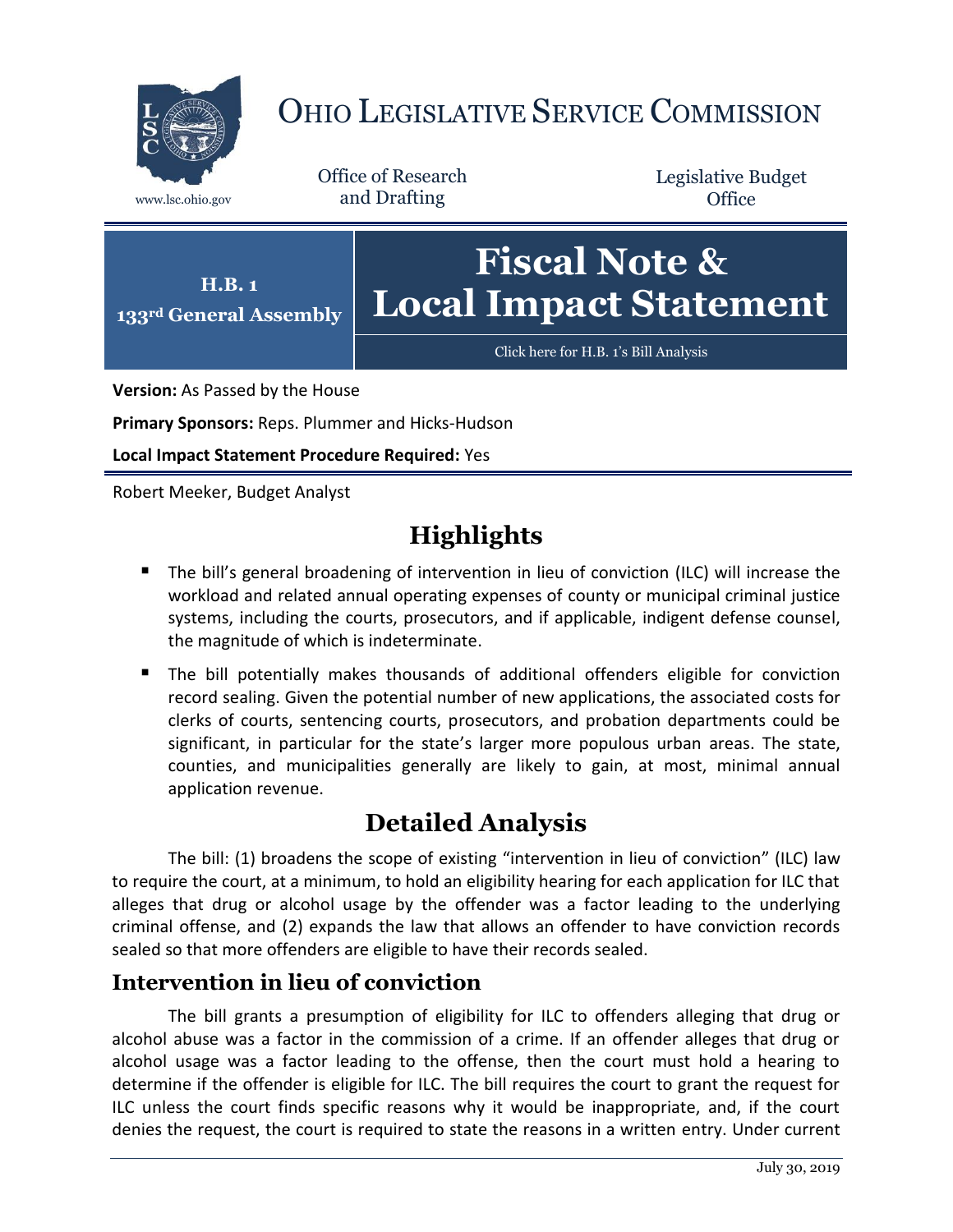

# OHIO LEGISLATIVE SERVICE COMMISSION

Office of Research www.lsc.ohio.gov and Drafting

Legislative Budget **Office** 



**Version:** As Passed by the House

**Primary Sponsors:** Reps. Plummer and Hicks-Hudson

**Local Impact Statement Procedure Required:** Yes

Robert Meeker, Budget Analyst

## **Highlights**

- The bill's general broadening of intervention in lieu of conviction (ILC) will increase the workload and related annual operating expenses of county or municipal criminal justice systems, including the courts, prosecutors, and if applicable, indigent defense counsel, the magnitude of which is indeterminate.
- The bill potentially makes thousands of additional offenders eligible for conviction record sealing. Given the potential number of new applications, the associated costs for clerks of courts, sentencing courts, prosecutors, and probation departments could be significant, in particular for the state's larger more populous urban areas. The state, counties, and municipalities generally are likely to gain, at most, minimal annual application revenue.

## **Detailed Analysis**

The bill: (1) broadens the scope of existing "intervention in lieu of conviction" (ILC) law to require the court, at a minimum, to hold an eligibility hearing for each application for ILC that alleges that drug or alcohol usage by the offender was a factor leading to the underlying criminal offense, and (2) expands the law that allows an offender to have conviction records sealed so that more offenders are eligible to have their records sealed.

### **Intervention in lieu of conviction**

The bill grants a presumption of eligibility for ILC to offenders alleging that drug or alcohol abuse was a factor in the commission of a crime. If an offender alleges that drug or alcohol usage was a factor leading to the offense, then the court must hold a hearing to determine if the offender is eligible for ILC. The bill requires the court to grant the request for ILC unless the court finds specific reasons why it would be inappropriate, and, if the court denies the request, the court is required to state the reasons in a written entry. Under current